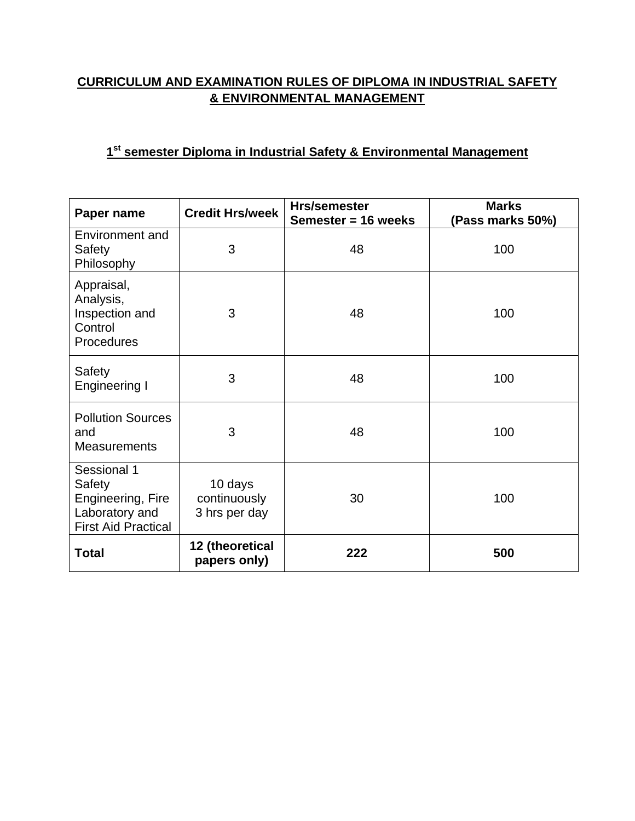## **CURRICULUM AND EXAMINATION RULES OF DIPLOMA IN INDUSTRIAL SAFETY & ENVIRONMENTAL MANAGEMENT**

## **1st semester Diploma in Industrial Safety & Environmental Management**

| Paper name                                                                                 | <b>Credit Hrs/week</b>                   | Hrs/semester<br>Semester = 16 weeks | <b>Marks</b><br>(Pass marks 50%) |
|--------------------------------------------------------------------------------------------|------------------------------------------|-------------------------------------|----------------------------------|
| Environment and<br>Safety<br>Philosophy                                                    | 3                                        | 48                                  | 100                              |
| Appraisal,<br>Analysis,<br>Inspection and<br>Control<br>Procedures                         | 3                                        | 48                                  | 100                              |
| Safety<br>Engineering I                                                                    | 3                                        | 48                                  | 100                              |
| <b>Pollution Sources</b><br>and<br><b>Measurements</b>                                     | 3                                        | 48                                  | 100                              |
| Sessional 1<br>Safety<br>Engineering, Fire<br>Laboratory and<br><b>First Aid Practical</b> | 10 days<br>continuously<br>3 hrs per day | 30                                  | 100                              |
| <b>Total</b>                                                                               | 12 (theoretical<br>papers only)          | 222                                 | 500                              |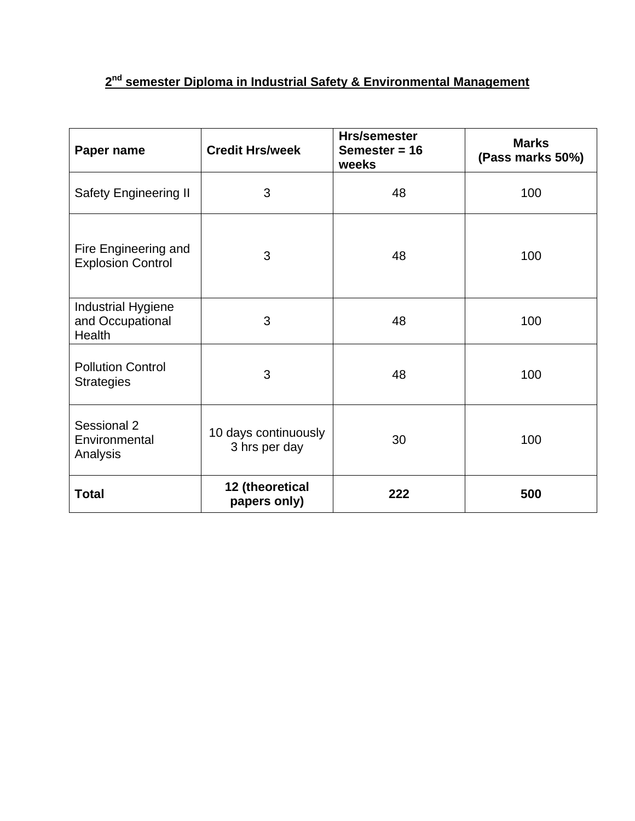# **2nd semester Diploma in Industrial Safety & Environmental Management**

| Paper name                                              | <b>Credit Hrs/week</b>                | <b>Hrs/semester</b><br>Semester = $16$<br>weeks | <b>Marks</b><br>(Pass marks 50%) |
|---------------------------------------------------------|---------------------------------------|-------------------------------------------------|----------------------------------|
| <b>Safety Engineering II</b>                            | 3                                     | 48                                              | 100                              |
| Fire Engineering and<br><b>Explosion Control</b>        | 3                                     | 48                                              | 100                              |
| <b>Industrial Hygiene</b><br>and Occupational<br>Health | 3                                     | 48                                              | 100                              |
| <b>Pollution Control</b><br><b>Strategies</b>           | 3                                     | 48                                              | 100                              |
| Sessional 2<br>Environmental<br>Analysis                | 10 days continuously<br>3 hrs per day | 30                                              | 100                              |
| <b>Total</b>                                            | 12 (theoretical<br>papers only)       | 222                                             | 500                              |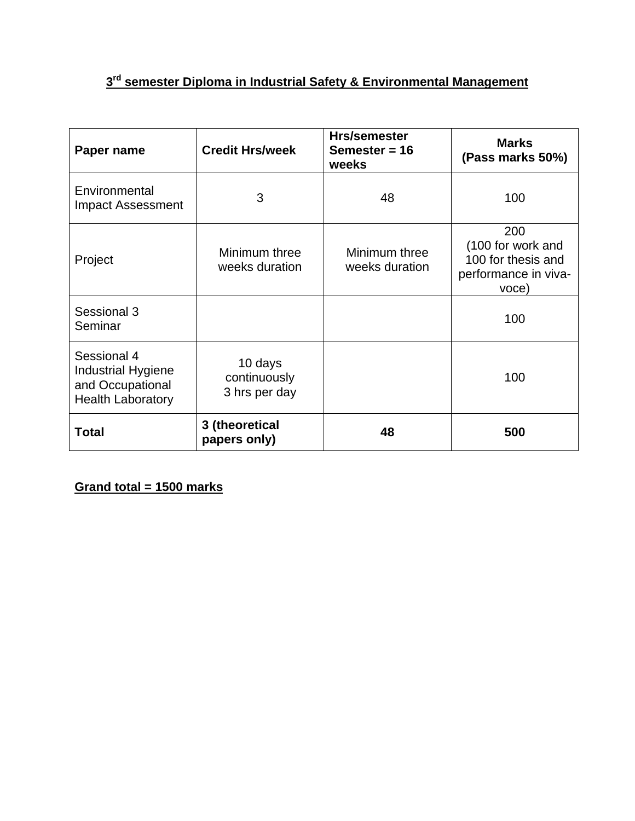# **3rd semester Diploma in Industrial Safety & Environmental Management**

| Paper name                                                                               | <b>Credit Hrs/week</b>                   | <b>Hrs/semester</b><br>Semester = $16$<br>weeks | <b>Marks</b><br>(Pass marks 50%)                                                |
|------------------------------------------------------------------------------------------|------------------------------------------|-------------------------------------------------|---------------------------------------------------------------------------------|
| Environmental<br><b>Impact Assessment</b>                                                | 3                                        | 48                                              | 100                                                                             |
| Project                                                                                  | Minimum three<br>weeks duration          | Minimum three<br>weeks duration                 | 200<br>(100 for work and<br>100 for thesis and<br>performance in viva-<br>voce) |
| Sessional 3<br>Seminar                                                                   |                                          |                                                 | 100                                                                             |
| Sessional 4<br><b>Industrial Hygiene</b><br>and Occupational<br><b>Health Laboratory</b> | 10 days<br>continuously<br>3 hrs per day |                                                 | 100                                                                             |
| <b>Total</b>                                                                             | 3 (theoretical<br>papers only)           | 48                                              | 500                                                                             |

**Grand total = 1500 marks**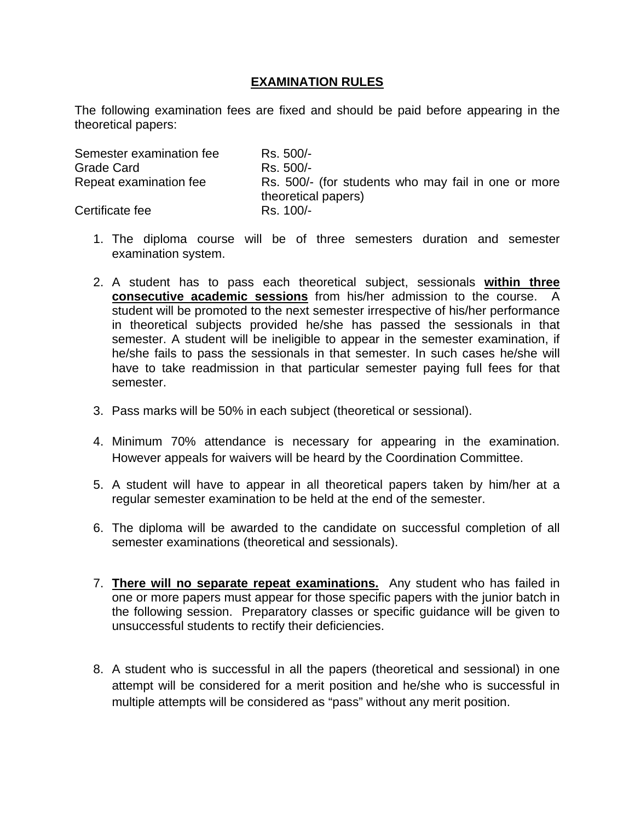### **EXAMINATION RULES**

The following examination fees are fixed and should be paid before appearing in the theoretical papers:

| Semester examination fee | Rs. 500/-                                                                  |
|--------------------------|----------------------------------------------------------------------------|
| Grade Card               | Rs. 500/-                                                                  |
| Repeat examination fee   | Rs. 500/- (for students who may fail in one or more<br>theoretical papers) |
| Certificate fee          | Rs. 100/-                                                                  |

- 1. The diploma course will be of three semesters duration and semester examination system.
- 2. A student has to pass each theoretical subject, sessionals **within three consecutive academic sessions** from his/her admission to the course. A student will be promoted to the next semester irrespective of his/her performance in theoretical subjects provided he/she has passed the sessionals in that semester. A student will be ineligible to appear in the semester examination, if he/she fails to pass the sessionals in that semester. In such cases he/she will have to take readmission in that particular semester paying full fees for that semester.
- 3. Pass marks will be 50% in each subject (theoretical or sessional).
- 4. Minimum 70% attendance is necessary for appearing in the examination. However appeals for waivers will be heard by the Coordination Committee.
- 5. A student will have to appear in all theoretical papers taken by him/her at a regular semester examination to be held at the end of the semester.
- 6. The diploma will be awarded to the candidate on successful completion of all semester examinations (theoretical and sessionals).
- 7. **There will no separate repeat examinations.** Any student who has failed in one or more papers must appear for those specific papers with the junior batch in the following session. Preparatory classes or specific guidance will be given to unsuccessful students to rectify their deficiencies.
- 8. A student who is successful in all the papers (theoretical and sessional) in one attempt will be considered for a merit position and he/she who is successful in multiple attempts will be considered as "pass" without any merit position.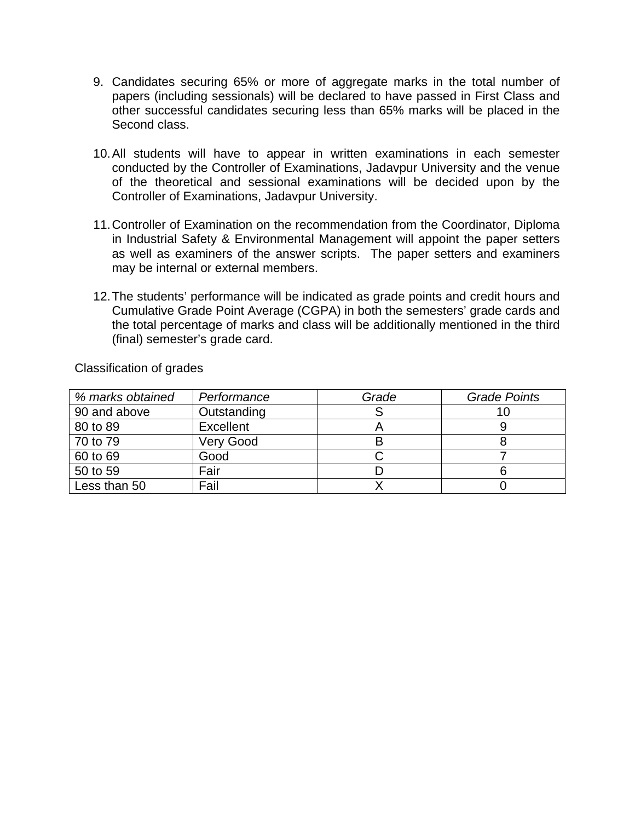- 9. Candidates securing 65% or more of aggregate marks in the total number of papers (including sessionals) will be declared to have passed in First Class and other successful candidates securing less than 65% marks will be placed in the Second class.
- 10. All students will have to appear in written examinations in each semester conducted by the Controller of Examinations, Jadavpur University and the venue of the theoretical and sessional examinations will be decided upon by the Controller of Examinations, Jadavpur University.
- 11. Controller of Examination on the recommendation from the Coordinator, Diploma in Industrial Safety & Environmental Management will appoint the paper setters as well as examiners of the answer scripts. The paper setters and examiners may be internal or external members.
- 12. The students' performance will be indicated as grade points and credit hours and Cumulative Grade Point Average (CGPA) in both the semesters' grade cards and the total percentage of marks and class will be additionally mentioned in the third (final) semester's grade card.

| % marks obtained | Performance | Grade | <b>Grade Points</b> |
|------------------|-------------|-------|---------------------|
| 90 and above     | Outstanding |       |                     |
| 80 to 89         | Excellent   |       |                     |
| 70 to 79         | Very Good   | В     |                     |
| 60 to 69         | Good        |       |                     |
| 50 to 59         | Fair        |       |                     |
| Less than 50     | Fail        |       |                     |

Classification of grades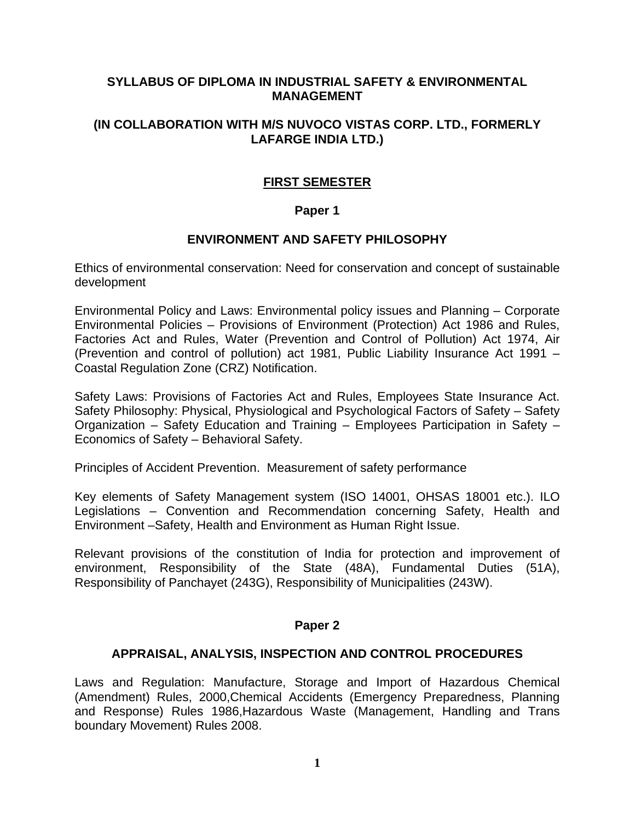#### **SYLLABUS OF DIPLOMA IN INDUSTRIAL SAFETY & ENVIRONMENTAL MANAGEMENT**

#### **(IN COLLABORATION WITH M/S NUVOCO VISTAS CORP. LTD., FORMERLY LAFARGE INDIA LTD.)**

## **FIRST SEMESTER**

#### **Paper 1**

#### **ENVIRONMENT AND SAFETY PHILOSOPHY**

Ethics of environmental conservation: Need for conservation and concept of sustainable development

Environmental Policy and Laws: Environmental policy issues and Planning – Corporate Environmental Policies – Provisions of Environment (Protection) Act 1986 and Rules, Factories Act and Rules, Water (Prevention and Control of Pollution) Act 1974, Air (Prevention and control of pollution) act 1981, Public Liability Insurance Act 1991 – Coastal Regulation Zone (CRZ) Notification.

Safety Laws: Provisions of Factories Act and Rules, Employees State Insurance Act. Safety Philosophy: Physical, Physiological and Psychological Factors of Safety – Safety Organization – Safety Education and Training – Employees Participation in Safety – Economics of Safety – Behavioral Safety.

Principles of Accident Prevention. Measurement of safety performance

Key elements of Safety Management system (ISO 14001, OHSAS 18001 etc.). ILO Legislations – Convention and Recommendation concerning Safety, Health and Environment –Safety, Health and Environment as Human Right Issue.

Relevant provisions of the constitution of India for protection and improvement of environment, Responsibility of the State (48A), Fundamental Duties (51A), Responsibility of Panchayet (243G), Responsibility of Municipalities (243W).

#### **Paper 2**

#### **APPRAISAL, ANALYSIS, INSPECTION AND CONTROL PROCEDURES**

Laws and Regulation: Manufacture, Storage and Import of Hazardous Chemical (Amendment) Rules, 2000,Chemical Accidents (Emergency Preparedness, Planning and Response) Rules 1986,Hazardous Waste (Management, Handling and Trans boundary Movement) Rules 2008.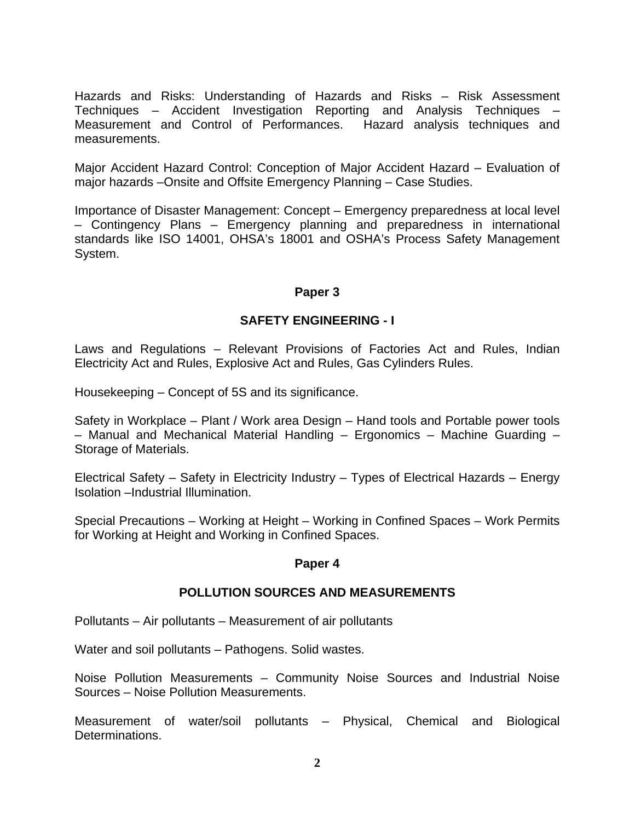Hazards and Risks: Understanding of Hazards and Risks – Risk Assessment Techniques – Accident Investigation Reporting and Analysis Techniques – Measurement and Control of Performances. Hazard analysis techniques and measurements.

Major Accident Hazard Control: Conception of Major Accident Hazard – Evaluation of major hazards –Onsite and Offsite Emergency Planning – Case Studies.

Importance of Disaster Management: Concept – Emergency preparedness at local level – Contingency Plans – Emergency planning and preparedness in international standards like ISO 14001, OHSA's 18001 and OSHA's Process Safety Management System.

#### **Paper 3**

#### **SAFETY ENGINEERING - I**

Laws and Regulations – Relevant Provisions of Factories Act and Rules, Indian Electricity Act and Rules, Explosive Act and Rules, Gas Cylinders Rules.

Housekeeping – Concept of 5S and its significance.

Safety in Workplace – Plant / Work area Design – Hand tools and Portable power tools – Manual and Mechanical Material Handling – Ergonomics – Machine Guarding – Storage of Materials.

Electrical Safety – Safety in Electricity Industry – Types of Electrical Hazards – Energy Isolation –Industrial Illumination.

Special Precautions – Working at Height – Working in Confined Spaces – Work Permits for Working at Height and Working in Confined Spaces.

#### **Paper 4**

#### **POLLUTION SOURCES AND MEASUREMENTS**

Pollutants – Air pollutants – Measurement of air pollutants

Water and soil pollutants – Pathogens. Solid wastes.

Noise Pollution Measurements – Community Noise Sources and Industrial Noise Sources – Noise Pollution Measurements.

Measurement of water/soil pollutants – Physical, Chemical and Biological Determinations.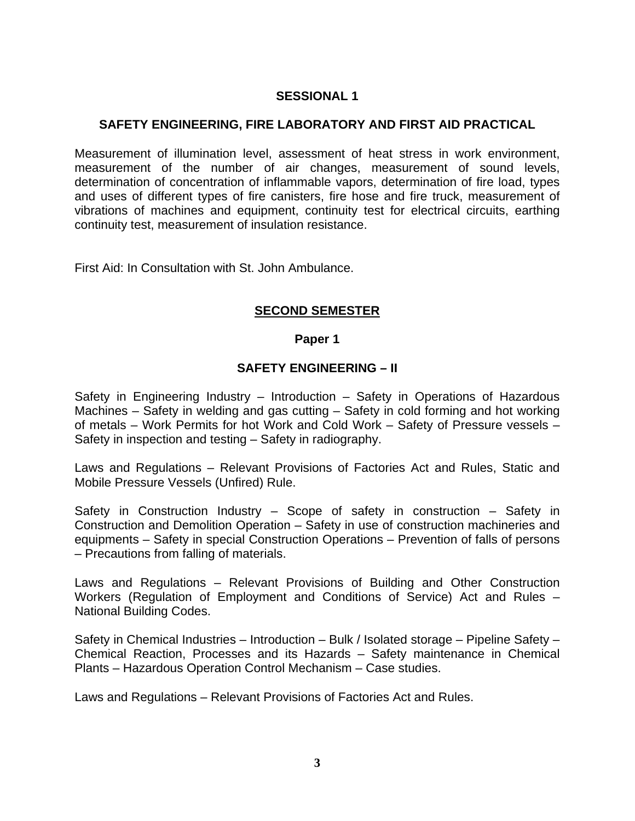## **SESSIONAL 1**

#### **SAFETY ENGINEERING, FIRE LABORATORY AND FIRST AID PRACTICAL**

Measurement of illumination level, assessment of heat stress in work environment, measurement of the number of air changes, measurement of sound levels, determination of concentration of inflammable vapors, determination of fire load, types and uses of different types of fire canisters, fire hose and fire truck, measurement of vibrations of machines and equipment, continuity test for electrical circuits, earthing continuity test, measurement of insulation resistance.

First Aid: In Consultation with St. John Ambulance.

#### **SECOND SEMESTER**

#### **Paper 1**

#### **SAFETY ENGINEERING – II**

Safety in Engineering Industry – Introduction – Safety in Operations of Hazardous Machines – Safety in welding and gas cutting – Safety in cold forming and hot working of metals – Work Permits for hot Work and Cold Work – Safety of Pressure vessels – Safety in inspection and testing – Safety in radiography.

Laws and Regulations – Relevant Provisions of Factories Act and Rules, Static and Mobile Pressure Vessels (Unfired) Rule.

Safety in Construction Industry – Scope of safety in construction – Safety in Construction and Demolition Operation – Safety in use of construction machineries and equipments – Safety in special Construction Operations – Prevention of falls of persons – Precautions from falling of materials.

Laws and Regulations – Relevant Provisions of Building and Other Construction Workers (Regulation of Employment and Conditions of Service) Act and Rules – National Building Codes.

Safety in Chemical Industries – Introduction – Bulk / Isolated storage – Pipeline Safety – Chemical Reaction, Processes and its Hazards – Safety maintenance in Chemical Plants – Hazardous Operation Control Mechanism – Case studies.

Laws and Regulations – Relevant Provisions of Factories Act and Rules.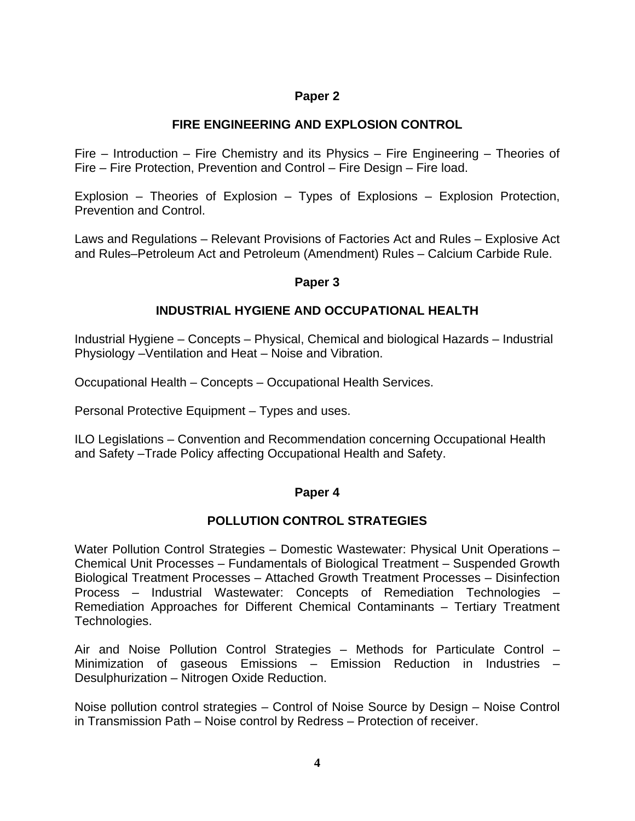## **Paper 2**

#### **FIRE ENGINEERING AND EXPLOSION CONTROL**

Fire – Introduction – Fire Chemistry and its Physics – Fire Engineering – Theories of Fire – Fire Protection, Prevention and Control – Fire Design – Fire load.

Explosion – Theories of Explosion – Types of Explosions – Explosion Protection, Prevention and Control.

Laws and Regulations – Relevant Provisions of Factories Act and Rules – Explosive Act and Rules–Petroleum Act and Petroleum (Amendment) Rules – Calcium Carbide Rule.

#### **Paper 3**

## **INDUSTRIAL HYGIENE AND OCCUPATIONAL HEALTH**

Industrial Hygiene – Concepts – Physical, Chemical and biological Hazards – Industrial Physiology –Ventilation and Heat – Noise and Vibration.

Occupational Health – Concepts – Occupational Health Services.

Personal Protective Equipment – Types and uses.

ILO Legislations – Convention and Recommendation concerning Occupational Health and Safety –Trade Policy affecting Occupational Health and Safety.

#### **Paper 4**

#### **POLLUTION CONTROL STRATEGIES**

Water Pollution Control Strategies – Domestic Wastewater: Physical Unit Operations – Chemical Unit Processes – Fundamentals of Biological Treatment – Suspended Growth Biological Treatment Processes – Attached Growth Treatment Processes – Disinfection Process – Industrial Wastewater: Concepts of Remediation Technologies – Remediation Approaches for Different Chemical Contaminants – Tertiary Treatment Technologies.

Air and Noise Pollution Control Strategies – Methods for Particulate Control – Minimization of gaseous Emissions – Emission Reduction in Industries – Desulphurization – Nitrogen Oxide Reduction.

Noise pollution control strategies – Control of Noise Source by Design – Noise Control in Transmission Path – Noise control by Redress – Protection of receiver.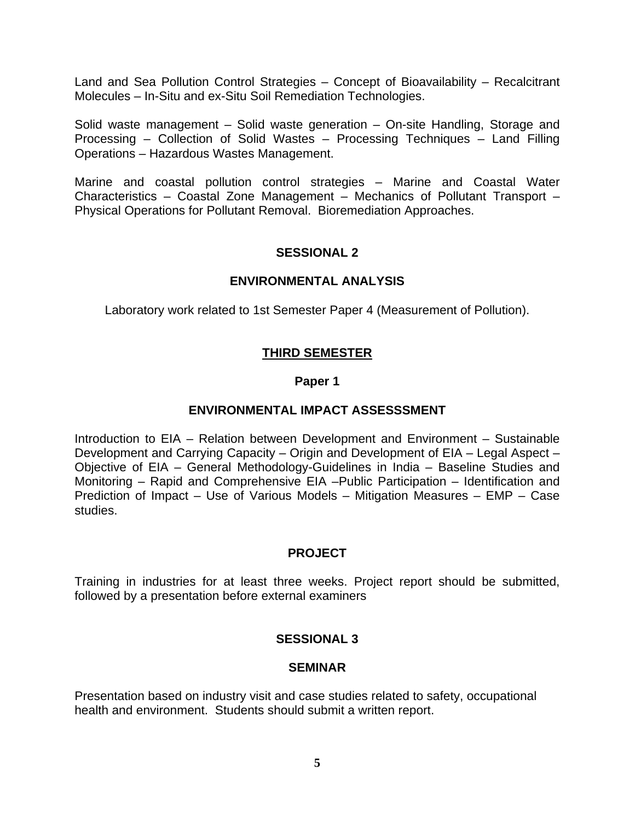Land and Sea Pollution Control Strategies – Concept of Bioavailability – Recalcitrant Molecules – In-Situ and ex-Situ Soil Remediation Technologies.

Solid waste management – Solid waste generation – On-site Handling, Storage and Processing – Collection of Solid Wastes – Processing Techniques – Land Filling Operations – Hazardous Wastes Management.

Marine and coastal pollution control strategies – Marine and Coastal Water Characteristics – Coastal Zone Management – Mechanics of Pollutant Transport – Physical Operations for Pollutant Removal. Bioremediation Approaches.

## **SESSIONAL 2**

#### **ENVIRONMENTAL ANALYSIS**

Laboratory work related to 1st Semester Paper 4 (Measurement of Pollution).

## **THIRD SEMESTER**

#### **Paper 1**

#### **ENVIRONMENTAL IMPACT ASSESSSMENT**

Introduction to EIA – Relation between Development and Environment – Sustainable Development and Carrying Capacity – Origin and Development of EIA – Legal Aspect – Objective of EIA – General Methodology-Guidelines in India – Baseline Studies and Monitoring – Rapid and Comprehensive EIA –Public Participation – Identification and Prediction of Impact – Use of Various Models – Mitigation Measures – EMP – Case studies.

#### **PROJECT**

Training in industries for at least three weeks. Project report should be submitted, followed by a presentation before external examiners

#### **SESSIONAL 3**

#### **SEMINAR**

Presentation based on industry visit and case studies related to safety, occupational health and environment. Students should submit a written report.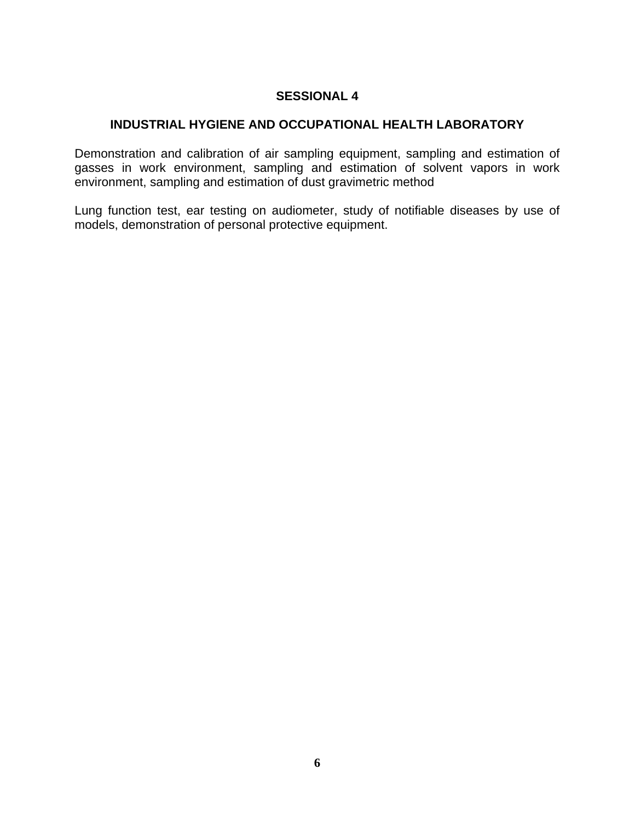## **SESSIONAL 4**

## **INDUSTRIAL HYGIENE AND OCCUPATIONAL HEALTH LABORATORY**

Demonstration and calibration of air sampling equipment, sampling and estimation of gasses in work environment, sampling and estimation of solvent vapors in work environment, sampling and estimation of dust gravimetric method

Lung function test, ear testing on audiometer, study of notifiable diseases by use of models, demonstration of personal protective equipment.